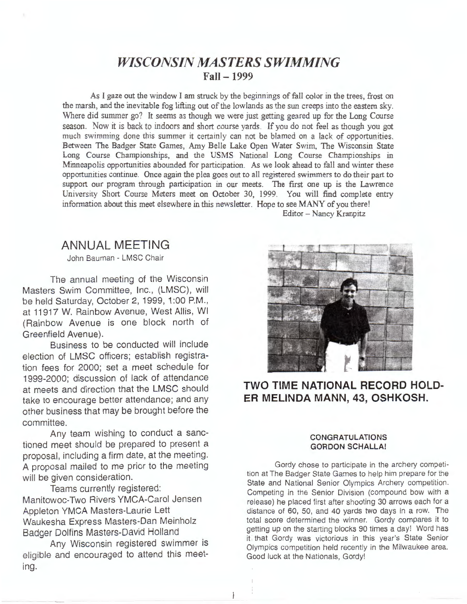# *WISCONSIN MASTERS SWIMMING*  **Fall - 1999**

As I gaze out the window I am struck by the beginnings of fall color in the trees, frost on the marsh, and the inevitable fog lifting out of the lowlands as the sun creeps into the eastern sky. Where did summer go? It seems as though we were just getting geared up for the Long Course season. Now it is back to indoors and short course yards. If you do not feel as though you got much swimming done this summer it certainly can not be blamed on a lack of opportunities. Between The Badger State Games, Amy Belle Lake Open Water Swim, The Wisconsin State Long Course Championships, and the **USMS** National Long Course Championships in Minneapolis opportunities abounded for participation. As we look ahead to fall and winter these opportunities continue. Once again the plea goes out to all registered swimmers to do their part to support our program through participation in our meets. The first one up is the Lawrence University Short Course Meters meet on October 30, 1999. You will find complete entry information about this meet elsewhere in this newsletter. Hope to see MANY of you there! Editor - Nancy Kranpitz

ł

# **ANNUAL MEETING**

John Bauman - LMSC Chair

The annual meeting of the Wisconsin Masters Swim Committee, Inc., (LMSC), will be held Saturday, October 2, 1999, 1:00 P.M., at 11917 W. Rainbow Avenue, West Allis, WI (Rainbow Avenue is one block north of Greenfield Avenue).

Business to be conducted will include election of LMSC officers; establish registration fees for 2000; set a meet schedule for 1999-2000; discussion of lack of attendance at meets and direction that the **LMSC** should take to encourage better attendance; and any other business that may be brought before the committee.

Any team wishing to conduct a sanctioned meet should be prepared to present a proposal, including a firm date, at the meeting. **A** proposal mailed to me prior to the meeting will be given consideration.

Teams currently registered: Manitowoc-Two Rivers YMCA-Carol Jensen Appleton **YMCA** Masters-Laurie Lett Waukesha Express Masters-Dan Meinholz Badger Dolfins Masters-David Holland

Any Wisconsin registered swimmer is eligible and encouraged to attend this meeting.



### **TWO TIME NATIONAL RECORD HOLD-ER MELINDA MANN, 43, OSHKOSH.**

#### **CONGRATULATIONS GORDON SCHALLA!**

Gordy chose to participate in the archery competition at The Badger State Games to help him prepare for the State and National Senior Olympics Archery competition. Competing in the Senior Division (compound bow with a release) he placed first after shooting 30 arrows each for a distance of 60, 50, and 40 yards two days in a row. The total score determined the winner. Gordy compares it to getting up on the starting blocks 90 times a day! Word has it that Gordy was victorious in this year's State Senior Olympics competition held recently in the Milwaukee area. Good luck at the Nationals, Gordy!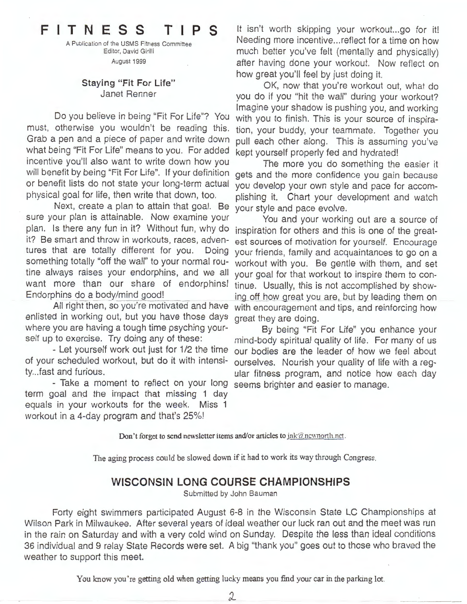# **FITNESS T I P S**

A Publication of the USMS Fitness Committee Editor, David Girilli August 1999

#### **Staying "Fit For Life"**  Janet Renner

Do you believe in being "Fit For Life"? You must, otherwise you wouldn't be reading this. Grab a pen and a piece of paper and write down what being "Fit For Life" means to you. For added incentive you'll also want to write down how you will benefit by being "Fit For Life". If your definition or benefit lists do not state your long-term actual physical goal for life, then write that down, too.

Next, create a plan to attain that goal. Be sure your plan is attainable. Now examine your plan. Is there any fun in it? Without fun, why do inspiration for others and this is one of the greatit? Be smart and throw in workouts, races, adventures that are totally different for you. Doing something totally "off the wall" to your normal routine always raises your endorphins, and we all want more than our share of endorphins! Endorphins do a body/mind good!

All right then, so you're motivated and have enlisted in working out, but you have those days where you are having a tough time psyching yourself up to exercise. Try doing any of these:

- Let yourself work out just for 1/2 the time of your scheduled workout, but do it with intensity... fast and furious.

- Take a moment to reflect on your long term goal and the impact that missing 1 day equals in your workouts for the week. Miss 1 workout in a 4-day program and that's 25%!

It isn't worth skipping your workout...go for it! Needing more incentive ... reflect for a time on how much better you've felt (mentally and physically) after having done your workout. Now reflect on how great you'll feel by just doing it.

OK, now that you're workout out, what do you do if you "hit the wall" during your workout? Imagine your shadow is pushing you, and working with you to finish. This is your source of inspiration, your buddy, your teammate. Together you pull each other along. This is assuming you've kept yourself properly fed and hydrated!

The more you do something the easier it gets and the more confidence you gain because you develop your own style and pace for accomplishing it. Chart your development and watch your style and pace evolve.

You and your working out are a source of est sources of motivation for yourself. Encourage your friends, family and acquaintances to go on a workout with you. Be gentle with them, and set your goal for that workout to inspire them to continue. Usually, this is not accomplished by showing off how great you are, but by leading them on with encouragement and tips, and reinforcing how great they are doing.

By being "Fit For Life" you enhance your mind-body spiritual quality of life. For many of us our bodies are the leader of how we feel about ourselves. Nourish your quality of life with a regular fitness program, and notice how each day seems brighter and easier to manage.

**Don't forget to send newsletter items and/or articles to**  $j$ nk@newnorth.net.

The aging process could be slowed down if it had to work its way through Congress.

### **WISCONSIN LONG COURSE CHAMPIONSHIPS**

Submitted by John Bauman

Forty eight swimmers participated August 6-8 in the Wisconsin State LC Championships at Wilson Park in Milwaukee. After several years of ideal weather our luck ran out and the meet was run in the rain on Saturday and with a very cold wind on Sunday. Despite the less than ideal conditions 36 individual and 9 relay State Records were set. A big "thank you" goes out to those who braved the weather to support this meet.

You know you 're getting old when getting lucky means you find your car in the parking lot.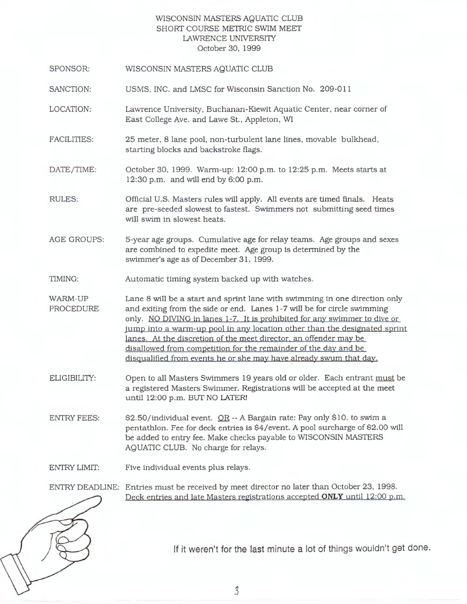#### WISCONSIN MASTERS AQUATIC CLUB SHORT COURSE METRIC SWIM MEET LAWRENCE UNIVERSI1Y October 30, 1999

- SPONSOR: WISCONSIN MASTERS AQUATIC CLUB
- SANCTION: USMS, INC. and LMSC for Wisconsin Sanction No. 209-011
- LOCATION: Lawrence University, Buchanan-Kiewit Aquatic Center, near comer of East College Ave. and Lawe St., Appleton, WI
- FACILITIES: 25 meter, 8 lane pool, non-turbulent lane lines, movable bulkhead, starting blocks and backstroke flags.
- DATE/TIME: October 30, 1999. Warm-up: 12:00 p.m. to 12:25 p.m. Meets starts at 12:30 p.m. and will end by 6:00 p.m.
- RULES: Official U.S. Masters rules will apply. All events are timed finals. Heats are pre-seeded slowest to fastest. Swimmers not submitting seed times will swim in slowest heats.
- AGE GROUPS: 5-year age groups. Cumulative age for relay teams. Age groups and sexes are combined to expedite meet. Age group is determined by the swimmer's age as of December 31, 1999.
- TIMING: Automatic timing system backed up with watches.
- WARM-UP PROCEDURE Lane 8 **will** be a start and sprint lane with swimming in one direction only and exiting from the side or end. Lanes 1-7 will be for circle swimming only. NO DIVJNG in lanes 1-7. It is prohibited for any swimmer to dive or jump into a warm-up pool in any location other than the designated sprint lanes. At the discretion of the meet director. an offender may be disallowed from competition for the remainder of the day and be disqualified from events he or she may have already swum that day.
- ELIGIBILITY: Open to all Masters Swimmers 19 years old or older. Each entrant must be a registered Masters Swimmer. Registrations will be accepted at the meet until 12:00 p.m. BUT NO LATER!
- ENTRY FEES: \$2.50/individual event. OR -- A Bargain rate: Pay only \$10. to swim a pentathlon. Fee for deck entries is \$4/ event. A pool surcharge of \$2.00 will be added to entry fee. Make checks payable to WISCONSIN MASTERS AQUATIC CLUB. No charge for relays.
- ENTRY LIMIT: Five individual events plus relays.

ENTRY DEADLINE: Entries must be received by meet director no later than October 23, 1998. Deck entries and late Masters registrations accepted **ONLY** until 12:00 p.m.



If it weren't for the last minute a lot of things wouldn't get done.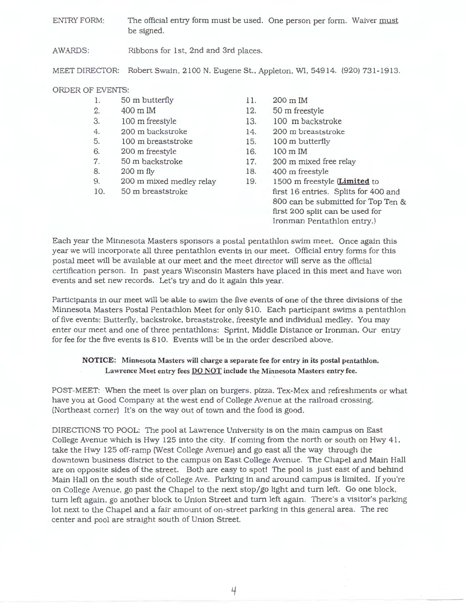ENTRY FORM: The official entry form must be used. One person per form. Waiver must be signed.

AWARDS: Ribbons for 1st, 2nd and 3rd places.

MEET DIRECTOR: Robert Swain, 2100 **N.** Eugene St., Appleton, **WI,** 54914. (920) 731-1913.

#### ORDER OF EVENTS:

- 1. 2. 3. 4. 5. 6. 7. 8. 9. 10. 50 m butterfly 400 m IM 100 m freestyle 200 m backstroke 100 m breaststroke 200 m freestyle 50 m backstroke 200 m fly 200 m mixed medley relay 50 m breaststroke
- 11. 200 m IM
- 12. 50 m freestyle
- 13. 100 m backstroke
- 14. 200 m breaststroke
- 15. 100 m butterfly
- 16. 100 m IM
- 17. 200 m mixed free relay
- 18. 400 m freestyle
- 19. 1500 m freestyle **(Limite d** to first 16 entries. Splits for 400 and 800 can be submitted for Top Ten & first 200 split can be used for Ironman Pentathlon entry.)

Each year the Minnesota Masters sponsors a postal pentathlon swim meet. Once again this year we will incorporate all three pentathlon events in our meet. Official entry forms for this postal meet will be available at our meet and the meet director will serve as the official certification person. In past years Wisconsin Masters have placed in this meet and have won events and set new records. Let's try and do it again this year.

Participants in our meet will be able to swim the five events of one of the three divisions of the Minnesota Masters Postal Pentathlon Meet for only \$10. Each participant swims a pentathlon of five events: Butterfly, backstroke, breaststroke, freestyle and individual medley. You may enter our meet and one of three pentathlons: Sprint. Middle Distance or Ironman. Our entry for fee for the five events is \$10. Events will be in the order described above.

#### **NOTICE: Minnesota Masters will charge a separate fee for entry in its postal pentathlon. Lawrence Meet entry fees DO NOT include the Minnesota Masters entry fee.**

POST-MEET: When the meet is over plan on burgers. pizza. Tex-Mex and refreshments or what have you at Good Company at the west end of College Avenue at the railroad crossing. (Northeast comer) It's on the way out of town and the food is good.

DIRECTIONS TO POOL: The pool at Lawrence University is on the main campus on East College Avenue which is Hwy 125 into the city. If coming from the north or south on Hwy 41. take the Hwy 125 off-ramp (West College Avenue) and go east all the way through the downtown business district to the campus on East College Avenue. The Chapel and Main Hall are on opposite sides of the street. Both are easy to spot! The pool is just east of and behind Main Hall on the south side of College Ave. Parking in and around campus is limited. If you're on College Avenue, go past the Chapel to the next stop/go light and tum left. Go one block, turn left again, go another block to Union Street and turn left again. There's a visitor's parking lot next to the Chapel and a fair amount of on-street parking in this general area. The rec center and pool are straight south of Union Street.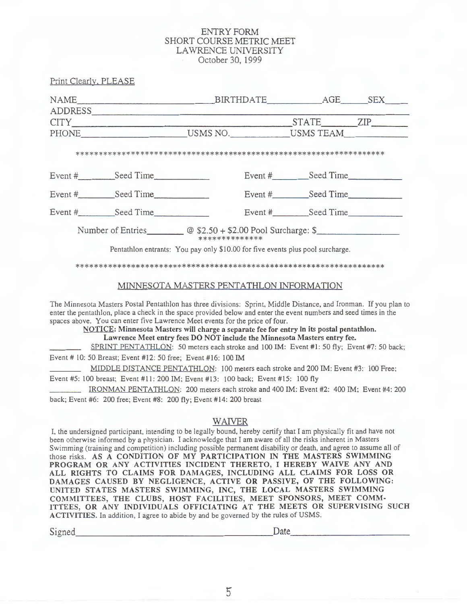#### **ENTRY FORM** SHORT COURSE METRIC MEET LAWRENCE UNIVERSITY October 30, 1999

Print Clearly, PLEASE

| NAME BIRTHDATE AGE SEX                                                                                         |                |  |                                                                                |  |
|----------------------------------------------------------------------------------------------------------------|----------------|--|--------------------------------------------------------------------------------|--|
| ADDRESS                                                                                                        |                |  |                                                                                |  |
| CITY The CITY And the CITY And the CITY And the CITY And the CITY And the CITY And the CITY AND THE CITY AND T |                |  | STATE ZIP                                                                      |  |
|                                                                                                                |                |  | PHONE USMS NO. USMS TEAM                                                       |  |
|                                                                                                                |                |  |                                                                                |  |
| Event # Seed Time                                                                                              |                |  | Event # Seed Time                                                              |  |
| Event # Seed Time                                                                                              |                |  | Event # Seed Time                                                              |  |
| Event # Seed Time                                                                                              |                |  | Event # Seed Time                                                              |  |
|                                                                                                                | ************** |  | Number of Entries $\omega$ \$2.50 + \$2.00 Pool Surcharge: \$                  |  |
|                                                                                                                |                |  | Pentathlon entrants: You pay only \$10.00 for five events plus pool surcharge. |  |

# 

#### MINNESOTA MASTERS PENTATHLON INFORMATION

The Minnesota Masters Postal Pentathlon has three divisions: Sprint, Middle Distance, and Ironman. If you plan to enter the pentathlon, place a check in the space provided below and enter the event numbers and seed times in the spaces above. You can enter five Lawrence Meet events for the price of four.

NOTICE: Minnesota Masters will charge a separate fee for entry in its postal pentathlon. Lawrence Meet entry fees DO NOT include the Minnesota Masters entry fee.

SPRINT PENTATHLON: 50 meters each stroke and 100 IM: Event #1: 50 fly; Event #7: 50 back;

Event # 10: 50 Breast; Event #12: 50 free; Event #16: 100 IM

MIDDLE DISTANCE PENTATHLON: 100 meters each stroke and 200 IM: Event #3: 100 Free; Event #5: 100 breast; Event #11: 200 IM; Event #13: 100 back; Event #15: 100 fly

IRONMAN PENTATHLON: 200 meters each stroke and 400 IM: Event #2: 400 IM; Event #4: 200 back; Event #6: 200 free; Event #8: 200 fly; Event #14: 200 breast

#### **WAIVER**

I, the undersigned participant, intending to be legally bound, hereby certify that I am physically fit and have not been otherwise informed by a physician. I acknowledge that I am aware of all the risks inherent in Masters Swimming (training and competition) including possible permanent disability or death, and agree to assume all of those risks. AS A CONDITION OF MY PARTICIPATION IN THE MASTERS SWIMMING PROGRAM OR ANY ACTIVITIES INCIDENT THERETO, I HEREBY WAIVE ANY AND ALL RIGHTS TO CLAIMS FOR DAMAGES, INCLUDING ALL CLAIMS FOR LOSS OR DAMAGES CAUSED BY NEGLIGENCE, ACTIVE OR PASSIVE, OF THE FOLLOWING: UNITED STATES MASTERS SWIMMING, INC, THE LOCAL MASTERS SWIMMING COMMITTEES, THE CLUBS, HOST FACILITIES, MEET SPONSORS, MEET COMM-ITTEES, OR ANY INDIVIDUALS OFFICIATING AT THE MEETS OR SUPERVISING SUCH ACTIVITIES. In addition, I agree to abide by and be governed by the rules of USMS.

Signed

Date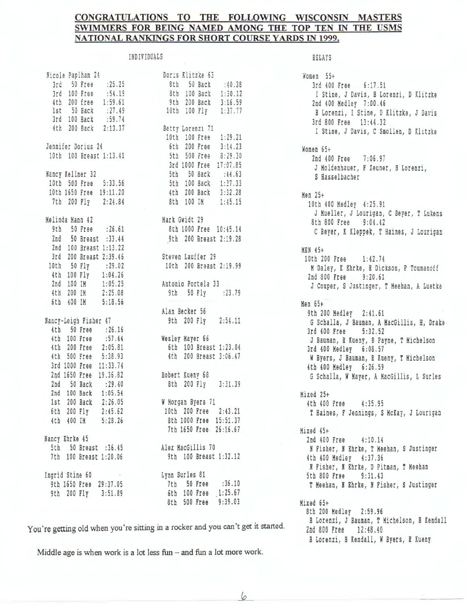#### CONGRATULATIONS TO THE FOLLOWING WISCONSIN MASTERS SWIMMERS FOR BEING NAMED AMONG THE TOP TEN IN THE USMS NATIONAL RANKINGS FOR SHORT COURSE YARDS IN 1999.

6

#### **INDIVIDUALS**

| Nicole Paplham 24                                                                                             | Doris Klitzke 63                                             |
|---------------------------------------------------------------------------------------------------------------|--------------------------------------------------------------|
| 3rd 50 Free : 25.25                                                                                           | 8th 50 Back :40.38                                           |
| 3rd 100 Free :54.19                                                                                           | 8th 100 Back 1:30.12                                         |
|                                                                                                               | 9th 200 Back 3:16.59                                         |
|                                                                                                               | 100 Fly 1:37.77                                              |
| 4th 200 free 1:59.61<br>1st 50 Back :27.49<br>3rd 100 Back :59.74<br>4th 200 Back 2:13.37<br>Betty Lorenzi 71 |                                                              |
|                                                                                                               |                                                              |
|                                                                                                               | 10th 100 Free 1:29.21                                        |
| Jennifer Dorius 24                                                                                            | 6th 200 Free 3:14.23                                         |
| 10th 100 Breast 1:13.41                                                                                       | 5th 500 Free 8:29.30                                         |
|                                                                                                               | 3rd 1000 Free 17:07.85                                       |
| Nancy Kellner 32                                                                                              | 5th 50 Back :44.63                                           |
|                                                                                                               |                                                              |
| 10th 500 Free 5:33.56                                                                                         | 5th 100 Back<br>5th 100 Back 1:37.33<br>4th 200 Back 3:32.28 |
| 10th 1650 Free 19:11.20                                                                                       |                                                              |
| 7th 200 Fly 2:24.84                                                                                           | 8th 100 IM 1:45.15                                           |
| Melinda Mann 42                                                                                               | Nark Gwidt 29                                                |
| 9th 50 Free : 26.61                                                                                           | 8th 1000 Free 10:45.14                                       |
| 2nd 50 Breast :33.44                                                                                          | 9th 200 Breast 2:19.28                                       |
| 2nd 100 Breast 1:13.22                                                                                        |                                                              |
| 3rd 200 Breast 2:39.46                                                                                        | Steven Lauffer 29                                            |
|                                                                                                               | 10th 200 Breast 2:19.99                                      |
| 10th 50 Fly : 29.02<br>4th 100 Fly 1:04.26<br>2nd 100 IM 1:05.25<br>4th 200 IM 2:25.08                        |                                                              |
|                                                                                                               | Antonio Portela 33                                           |
|                                                                                                               | 9th 50 Fly<br>: 23.79                                        |
| 6th 400 IM 5:18.56                                                                                            |                                                              |
|                                                                                                               | Alan Becker 56                                               |
|                                                                                                               | 9th 200 Fly 2:54.11                                          |
| Nancy-Leigh Fisher 47<br>4th 50 Free : 26.16                                                                  |                                                              |
| 4th 100 Free :57.44                                                                                           |                                                              |
| 4th 200 Free 2:05.81                                                                                          | Wesley Mayer 66                                              |
|                                                                                                               | 6th 100 Breast 1:23.04                                       |
| 4th 500 Free 5:38.93                                                                                          | 4th 200 Breast 3:06.47<br>×                                  |
| 3rd 1000 Free 11:33.74                                                                                        |                                                              |
| 2nd 1650 Free 19.36.82                                                                                        | Robert Kueny 68                                              |
| 2nd 50 Back : 29.40                                                                                           | 8th 200 Fly 3:31.39                                          |
| 2nd 100 Back 1:05.54                                                                                          |                                                              |
| 1st 200 Back 2:26.05                                                                                          | W Norgan Byers 71                                            |
| 6th 200 Fly 2:45.62<br>4th 400 IN 5:28.26                                                                     | 10th 200 Free 2:43.21                                        |
|                                                                                                               | 8th 1000 Free 15:51.37                                       |
|                                                                                                               | 7th 1650 Free. 26:16.67                                      |
| Nancy Ehrke 45                                                                                                |                                                              |
| 5th 50 Breast : 36.45                                                                                         | Alex MacGillis 70                                            |
| 7th 100 Breast 1:20.06                                                                                        | 9th 100 Breast 1:32.12                                       |
| Ingrid Stine 60<br><b>Contract Contract</b>                                                                   | Lynn Surles 81                                               |
| 9th 1650 Free 29:37.05                                                                                        | 7th 50 Free : 36.10                                          |
| 9th 200 Fly 3:51.89                                                                                           | 6th 100 Free 1:25.67                                         |
|                                                                                                               | 8th 500 Free 9:39.03                                         |
|                                                                                                               |                                                              |

RELAYS

Women 55+ 3rd 400 Free 6:17.51 I Stine, J Davis, B Lorenzi, D Klitzke 2nd 400 Medley 7:00.46 B Lorenzi, I Stine, D Klitzke, J Davis 3rd 800 Free 13:44.32 I Stine, J Davis, C Smollen, D Klitzke Women 65+ 2nd 400 Free  $7:06.97$ J Moldenhauer, F Zeuner, B Lorenzi, S Hasselbacher Men  $25+$ 10th 400 Medley 4:25.91 J Mueller, J Lourigan, C Beyer, T Lukens 8th 800 Free 9:04.42 C Beyer, K Kleppek, T Haines, J Lourigan **MEN 45+** 10th 200 Free  $1:42.74$ M Daley, E Ehrke, R Dickson, P Toumanoff 2nd 800 Free  $9:20.61$ J Couper, S Justinger, T Meehan, A Luetke Men 65+ 9th 200 Medley 2:41.61 G Schalla, J Bauman, A MacGillis, H, Drake 3rd 400 Free  $5:32.52$ J Bauman, R Kueny, B Payne, T Michelson 3rd 400 Medley 6:08.57 W Byers, J Bauman, R Kueny, T Michelson 4th 400 Medley 6:26.59 G Schalla, W Mayer, A MacGillis, L Surles Mixed 25+ 4th 400 Free  $4:35.95$ T Haines, F Jennings, S McKay, J Lourigan Mixed 45+ 2nd 400 Free  $4:10.14$ N Fisher, N Ehrke, T Meehan, S Justinger 4th 400 Medley 4:37.36 N Fisher, N Ehrke, D Pitman, T Meehan 5th 800 Free  $9:31.43$ T Meehan, N Ehrke, N Fisher, S Justinger Mixed 65+ 8th 200 Medley 2:59.96 B Lorenzi, J Bauman, T Michelson, B Kendall 2nd 800 Free 12:48.40 B Lorenzi, B Kendall, W Byers, R Kueny

You're getting old when you're sitting in a rocker and you can't get it started.

Middle age is when work is a lot less  $fun$  – and  $fun$  a lot more work.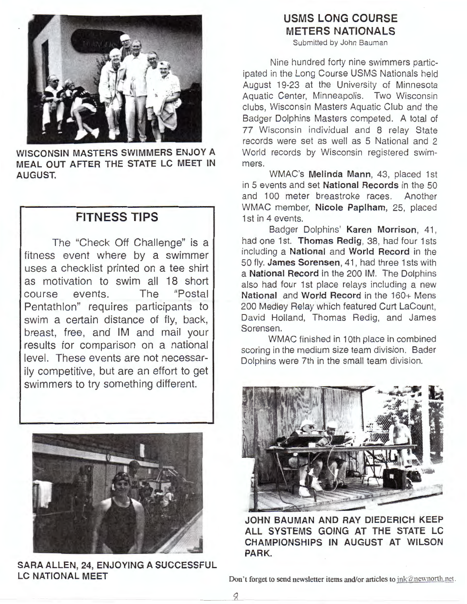

**WISCONSIN MASTERS SWIMMERS ENJOY A MEAL OUT AFTER THE STATE LC MEET IN AUGUST.** 

# **FITNESS TIPS**

The "Check Off Challenge" is a fitness event where by a swimmer uses a checklist printed on a tee shirt as motivation to swim all 18 short course events. The "Postal Pentathlon" requires participants to swim a certain distance of fly, back, breast, free, and IM and mail your results for comparison on a national level. These events are not necessarily competitive, but are an effort to get swimmers to try something different.



**SARA ALLEN, 24, ENJOYING A SUCCESSFUL LC NATIONAL MEET** 

# **USMS LONG COURSE METERS NATIONALS**

Submitted by John Bauman

Nine hundred forty nine swimmers participated in the Long Course USMS Nationals held August 19-23 at the University of Minnesota Aquatic Center, Minneapolis. Two Wisconsin clubs, Wisconsin Masters Aquatic Club and the Badger Dolphins Masters competed. A total of **77** Wisconsin individual and 8 relay State records were set as well as 5 National and 2 World records by Wisconsin registered swimmers.

WMAC's **Melinda Mann,** 43, placed 1st in 5 events and set **National Records** in the 50 and 100 meter breastroke races . Another WMAC member, **Nicole Paplham,** 25, placed 1st in 4 events.

Badger Dolphins' **Karen Morrison,** 41 , had one 1st. **Thomas Redig, 38, had four 1sts** including a **National** and **World Record** in the 50 fly. **James Sorensen,** 41 , had three 1 sts with a **National Record** in the 200 IM. The Dolphins also had four 1st place relays including a new **National** and **World Record** in the 160+ Mens 200 Medley Relay which featured Curt Lacount, David Holland, Thomas Redig, and James Sorensen.

WMAC finished in 10th place in combined scoring in the medium size team division. Bader Dolphins were 7th in the small team division.



**JOHN BAUMAN AND RAY DIEDERICH KEEP ALL SYSTEMS GOING AT THE STATE LC CHAMPIONSHIPS IN AUGUST AT WILSON PARK.** 

Don't forget to send newsletter items and/or articles to  $ink@newnorth.net$ .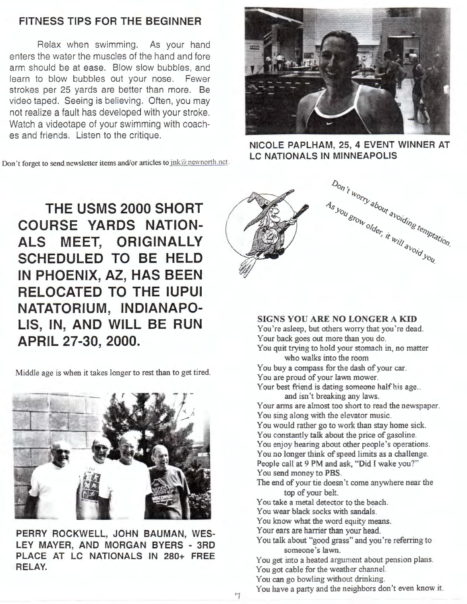### **FITNESS TIPS FOR THE BEGINNER**

Relax when swimming. As your hand enters the water the muscles of the hand and fore arm should be at ease. Blow slow bubbles, and learn to blow bubbles out your nose. Fewer strokes per 25 yards are better than more. Be video taped. Seeing is believing. Often, you may not realize a fault has developed with your stroke. Watch a videotape of your swimming with coaches and friends. Listen to the critique.

**Don't forget to send newsletter items and/or articles to**  $\frac{ink@newnorth.net}{mk@newnorth.net}$ **.** 



**NICOLE PAPLHAM, 25, 4 EVENT WINNER AT LC NATIONALS IN MINNEAPOLIS** 

**THE USMS 2000 SHORT** / **COURSE YARDS NATION-ALS MEET, ORIGINALLY SCHEDULED TO BE HELD IN PHOENIX, AZ, HAS BEEN RELOCATED TO THE IUPUI NATATORIUM, INDIANAPO-LIS, IN, AND WILL BE RUN APRIL 27-30, 2000.** 

Middle age is when it takes longer to rest than to get tired.



**PERRY ROCKWELL, JOHN BAUMAN, WES-LEY MAYER, AND MORGAN BYERS** - **3RD PLACE AT LC NATIONALS IN 280+ FREE RELAY.** 



#### **SIGNS YOU ARE NO LONGER A KID**

You 're asleep, but others worry that you 're dead. Your back goes out more than you do.

You quit trying to hold your stomach in, no matter who walks into the room

- You buy a compass for the dash of your car. You are proud of your lawn mower.
- Your best friend is dating someone half his age... and isn't breaking any laws.
- Your arms are almost too short to read the newspaper. You sing along with the elevator music.

You would rather go to work than stay home sick. You constantly talk about the price of gasoline. You enjoy hearing about other people's operations. You no longer think of speed limits as a challenge.

People call at 9 PM and ask, "Did I wake you?" You send money to PBS.

The end of your tie doesn 't come anywhere near the top of your belt.

You take a metal detector to the beach.

You wear black socks with sandals.

You know what the word equity means.

Your ears are harrier than your head.

You talk about "good grass" and you're referring to someone's lawn.

You get into a heated argument about pension plans. You got cable for the weather channel.

You can go bowling without drinking.

You have a party and the neighbors don't even know it.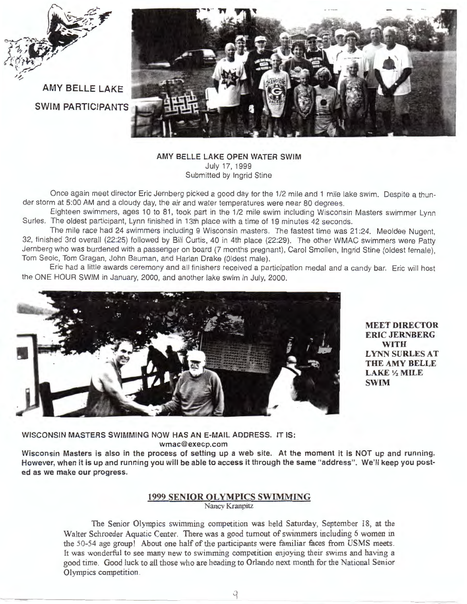

**AMY BELLE LAKE SWIM PARTICIPANTS** 



**AMY BELLE LAKE OPEN WATER SWIM**  July 17, 1999 Submitted by Ingrid Stine

Once again meet director Eric Jernberg picked a good day for the 1/2 mile and 1 mile lake swim. Despite a thunder storm at 5:00 AM and a cloudy day, the air and water temperatures were near 80 degrees.

Eighteen swimmers, ages 10 to 81, took part in the 1/2 mile swim including Wisconsin Masters swimmer Lynn Surles. The oldest participant, Lynn finished in 13th place with a time of 19 minutes 42 seconds.

The mile race had 24 swimmers including 9 Wisconsin masters. The fastest time was 21 :24. Meoldee Nugent, 32, finished 3rd overall (22:25) followed by Bill Curtis, 40 in 4th place (22:29). The other WMAC swimmers were Patty Jernberg who was burdened with a passenger on board (7 months pregnant), Carol Smallen, Ingrid Stine (oldest female), Tom Seoic, Tom Gragan, John Bauman, and Harlan Drake (Oldest male).

Eric had a little awards ceremony and all finishers received a participation medal and a candy bar. Eric will host the ONE HOUR SWIM in January, 2000, and another lake swim in July, 2000.



**MEET DIRECTOR ERIC JERNBERG WITH LYNN SURLES AT THE AMY BELLE LAKE½MILE SWIM** 

**WISCONSIN MASTERS SWIMMING NOW HAS AN E-MAIL ADDRESS.** IT IS: **wmac@execp.com** 

**Wisconsin Masters is also in the process of setting up a web site. At the moment it is NOT up and running. However, when it is up and running you will be able to access it through the same "address". We'll keep you posted as we make our progress.** 

#### **1999 SENIOR OLYMPICS SWIMMING**

Nancy Kranpitz

The Senior Olympics swimming competition was held Saturday, September 18, at the Walter Schroeder Aquatic Center. There was a good turnout of swimmers including 6 women in the 50-54 age group! About one half of the participants were familiar faces from **USMS** meets. It was wonderful to see many new to swimming competition enjoying their swims and having a good time. Good luck to all those who are heading to Orlando next month for the National Senior Olympics competition.